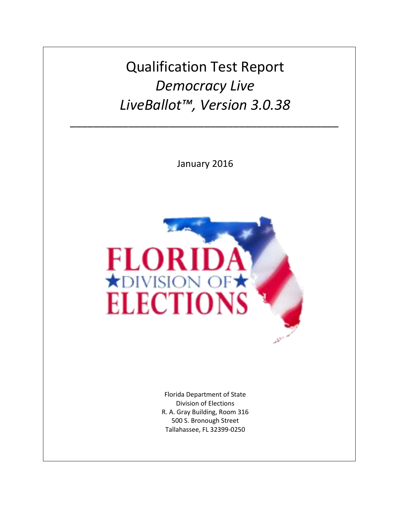Qualification Test Report *Democracy Live LiveBallot™, Version 3.0.38*

*\_\_\_\_\_\_\_\_\_\_\_\_\_\_\_\_\_\_\_\_\_\_\_\_\_\_\_\_\_\_\_\_\_\_\_\_\_\_\_\_\_\_\_\_\_\_*

January 2016



Florida Department of State Division of Elections R. A. Gray Building, Room 316 500 S. Bronough Street Tallahassee, FL 32399-0250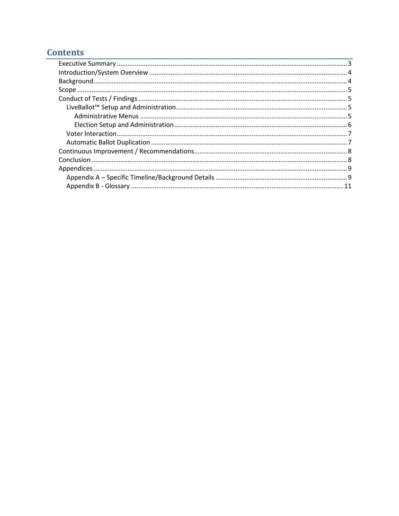### **Contents**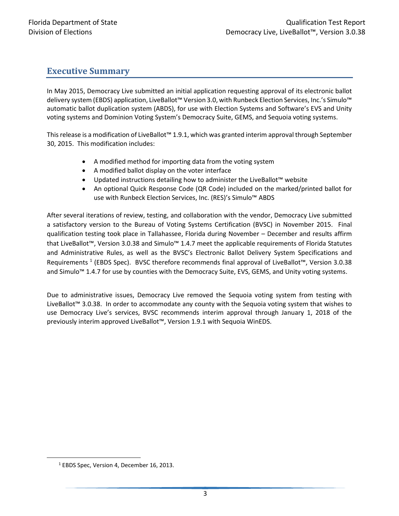### <span id="page-2-0"></span>**Executive Summary**

In May 2015, Democracy Live submitted an initial application requesting approval of its electronic ballot delivery system (EBDS) application, LiveBallot™ Version 3.0, with Runbeck Election Services, Inc.'s Simulo™ automatic ballot duplication system (ABDS), for use with Election Systems and Software's EVS and Unity voting systems and Dominion Voting System's Democracy Suite, GEMS, and Sequoia voting systems.

This release is a modification of LiveBallot™ 1.9.1, which was granted interim approval through September 30, 2015. This modification includes:

- A modified method for importing data from the voting system
- A modified ballot display on the voter interface
- Updated instructions detailing how to administer the LiveBallot™ website
- An optional Quick Response Code (QR Code) included on the marked/printed ballot for use with Runbeck Election Services, Inc. (RES)'s Simulo™ ABDS

After several iterations of review, testing, and collaboration with the vendor, Democracy Live submitted a satisfactory version to the Bureau of Voting Systems Certification (BVSC) in November 2015. Final qualification testing took place in Tallahassee, Florida during November – December and results affirm that LiveBallot™, Version 3.0.38 and Simulo™ 1.4.7 meet the applicable requirements of Florida Statutes and Administrative Rules, as well as the BVSC's Electronic Ballot Delivery System Specifications and Requirements <sup>1</sup> (EBDS Spec). BVSC therefore recommends final approval of LiveBallot™, Version 3.0.38 and Simulo™ 1.4.7 for use by counties with the Democracy Suite, EVS, GEMS, and Unity voting systems.

Due to administrative issues, Democracy Live removed the Sequoia voting system from testing with LiveBallot™ 3.0.38. In order to accommodate any county with the Sequoia voting system that wishes to use Democracy Live's services, BVSC recommends interim approval through January 1, 2018 of the previously interim approved LiveBallot™, Version 1.9.1 with Sequoia WinEDS.

 $\overline{\phantom{a}}$ 

<sup>&</sup>lt;sup>1</sup> EBDS Spec, Version 4, December 16, 2013.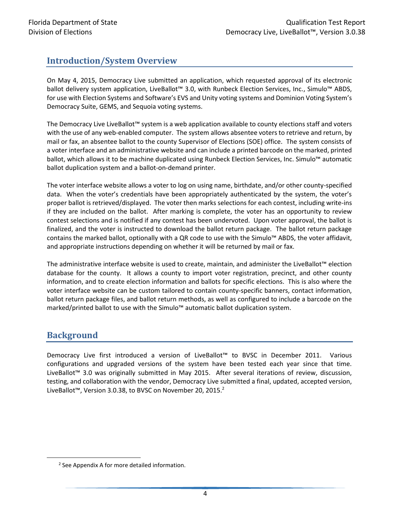# <span id="page-3-0"></span>**Introduction/System Overview**

On May 4, 2015, Democracy Live submitted an application, which requested approval of its electronic ballot delivery system application, LiveBallot™ 3.0, with Runbeck Election Services, Inc., Simulo™ ABDS, for use with Election Systems and Software's EVS and Unity voting systems and Dominion Voting System's Democracy Suite, GEMS, and Sequoia voting systems.

The Democracy Live LiveBallot™ system is a web application available to county elections staff and voters with the use of any web-enabled computer. The system allows absentee voters to retrieve and return, by mail or fax, an absentee ballot to the county Supervisor of Elections (SOE) office. The system consists of a voter interface and an administrative website and can include a printed barcode on the marked, printed ballot, which allows it to be machine duplicated using Runbeck Election Services, Inc. Simulo™ automatic ballot duplication system and a ballot-on-demand printer.

The voter interface website allows a voter to log on using name, birthdate, and/or other county-specified data. When the voter's credentials have been appropriately authenticated by the system, the voter's proper ballot is retrieved/displayed. The voter then marks selections for each contest, including write-ins if they are included on the ballot. After marking is complete, the voter has an opportunity to review contest selections and is notified if any contest has been undervoted. Upon voter approval, the ballot is finalized, and the voter is instructed to download the ballot return package. The ballot return package contains the marked ballot, optionally with a QR code to use with the Simulo™ ABDS, the voter affidavit, and appropriate instructions depending on whether it will be returned by mail or fax.

The administrative interface website is used to create, maintain, and administer the LiveBallot™ election database for the county. It allows a county to import voter registration, precinct, and other county information, and to create election information and ballots for specific elections. This is also where the voter interface website can be custom tailored to contain county-specific banners, contact information, ballot return package files, and ballot return methods, as well as configured to include a barcode on the marked/printed ballot to use with the Simulo™ automatic ballot duplication system.

### <span id="page-3-1"></span>**Background**

 $\overline{\phantom{a}}$ 

Democracy Live first introduced a version of LiveBallot™ to BVSC in December 2011. Various configurations and upgraded versions of the system have been tested each year since that time. LiveBallot™ 3.0 was originally submitted in May 2015. After several iterations of review, discussion, testing, and collaboration with the vendor, Democracy Live submitted a final, updated, accepted version, LiveBallot™, Version 3.0.38, to BVSC on November 20, 2015. 2

<sup>&</sup>lt;sup>2</sup> See Appendix A for more detailed information.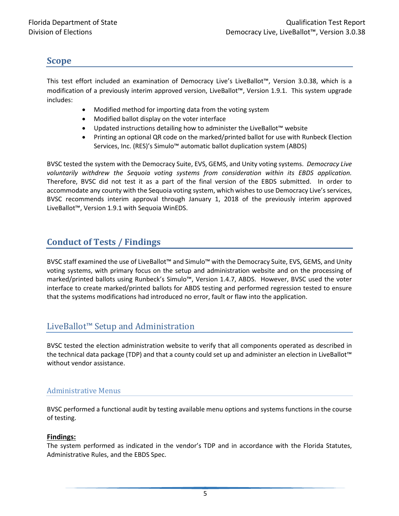### <span id="page-4-0"></span>**Scope**

This test effort included an examination of Democracy Live's LiveBallot™, Version 3.0.38, which is a modification of a previously interim approved version, LiveBallot™, Version 1.9.1. This system upgrade includes:

- Modified method for importing data from the voting system
- Modified ballot display on the voter interface
- Updated instructions detailing how to administer the LiveBallot™ website
- Printing an optional QR code on the marked/printed ballot for use with Runbeck Election Services, Inc. (RES)'s Simulo™ automatic ballot duplication system (ABDS)

BVSC tested the system with the Democracy Suite, EVS, GEMS, and Unity voting systems. *Democracy Live voluntarily withdrew the Sequoia voting systems from consideration within its EBDS application.*  Therefore, BVSC did not test it as a part of the final version of the EBDS submitted. In order to accommodate any county with the Sequoia voting system, which wishes to use Democracy Live's services, BVSC recommends interim approval through January 1, 2018 of the previously interim approved LiveBallot™, Version 1.9.1 with Sequoia WinEDS.

# <span id="page-4-1"></span>**Conduct of Tests / Findings**

BVSC staff examined the use of LiveBallot™ and Simulo™ with the Democracy Suite, EVS, GEMS, and Unity voting systems, with primary focus on the setup and administration website and on the processing of marked/printed ballots using Runbeck's Simulo™, Version 1.4.7, ABDS. However, BVSC used the voter interface to create marked/printed ballots for ABDS testing and performed regression tested to ensure that the systems modifications had introduced no error, fault or flaw into the application.

# <span id="page-4-2"></span>LiveBallot™ Setup and Administration

BVSC tested the election administration website to verify that all components operated as described in the technical data package (TDP) and that a county could set up and administer an election in LiveBallot™ without vendor assistance.

#### <span id="page-4-3"></span>Administrative Menus

BVSC performed a functional audit by testing available menu options and systems functions in the course of testing.

#### **Findings:**

The system performed as indicated in the vendor's TDP and in accordance with the Florida Statutes, Administrative Rules, and the EBDS Spec.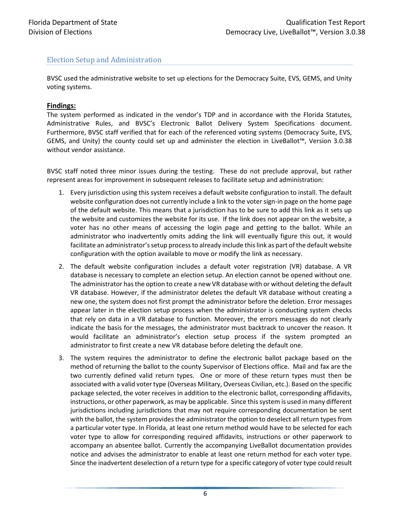#### <span id="page-5-0"></span>Election Setup and Administration

BVSC used the administrative website to set up elections for the Democracy Suite, EVS, GEMS, and Unity voting systems.

#### **Findings:**

The system performed as indicated in the vendor's TDP and in accordance with the Florida Statutes, Administrative Rules, and BVSC's Electronic Ballot Delivery System Specifications document. Furthermore, BVSC staff verified that for each of the referenced voting systems (Democracy Suite, EVS, GEMS, and Unity) the county could set up and administer the election in LiveBallot™, Version 3.0.38 without vendor assistance.

BVSC staff noted three minor issues during the testing. These do not preclude approval, but rather represent areas for improvement in subsequent releases to facilitate setup and administration:

- 1. Every jurisdiction using this system receives a default website configuration to install. The default website configuration does not currently include a link to the voter sign-in page on the home page of the default website. This means that a jurisdiction has to be sure to add this link as it sets up the website and customizes the website for its use. If the link does not appear on the website, a voter has no other means of accessing the login page and getting to the ballot. While an administrator who inadvertently omits adding the link will eventually figure this out, it would facilitate an administrator's setup process to already include this link as part of the default website configuration with the option available to move or modify the link as necessary.
- 2. The default website configuration includes a default voter registration (VR) database. A VR database is necessary to complete an election setup. An election cannot be opened without one. The administrator has the option to create a new VR database with or without deleting the default VR database. However, if the administrator deletes the default VR database without creating a new one, the system does not first prompt the administrator before the deletion. Error messages appear later in the election setup process when the administrator is conducting system checks that rely on data in a VR database to function. Moreover, the errors messages do not clearly indicate the basis for the messages, the administrator must backtrack to uncover the reason. It would facilitate an administrator's election setup process if the system prompted an administrator to first create a new VR database before deleting the default one.
- 3. The system requires the administrator to define the electronic ballot package based on the method of returning the ballot to the county Supervisor of Elections office. Mail and fax are the two currently defined valid return types. One or more of these return types must then be associated with a valid voter type (Overseas Military, Overseas Civilian, etc.). Based on the specific package selected, the voter receives in addition to the electronic ballot, corresponding affidavits, instructions, or other paperwork, as may be applicable. Since this system is used in many different jurisdictions including jurisdictions that may not require corresponding documentation be sent with the ballot, the system provides the administrator the option to deselect all return types from a particular voter type. In Florida, at least one return method would have to be selected for each voter type to allow for corresponding required affidavits, instructions or other paperwork to accompany an absentee ballot. Currently the accompanying LiveBallot documentation provides notice and advises the administrator to enable at least one return method for each voter type. Since the inadvertent deselection of a return type for a specific category of voter type could result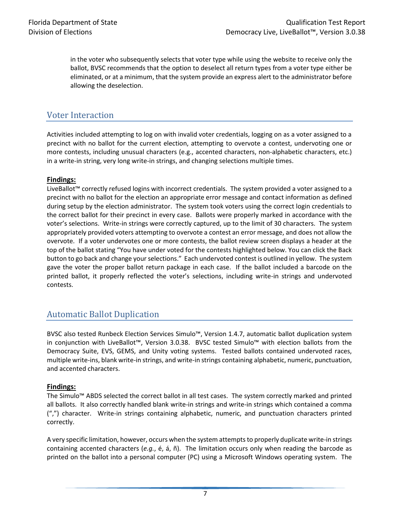in the voter who subsequently selects that voter type while using the website to receive only the ballot, BVSC recommends that the option to deselect all return types from a voter type either be eliminated, or at a minimum, that the system provide an express alert to the administrator before allowing the deselection.

### <span id="page-6-0"></span>Voter Interaction

Activities included attempting to log on with invalid voter credentials, logging on as a voter assigned to a precinct with no ballot for the current election, attempting to overvote a contest, undervoting one or more contests, including unusual characters (e.g., accented characters, non-alphabetic characters, etc.) in a write-in string, very long write-in strings, and changing selections multiple times.

#### **Findings:**

LiveBallot™ correctly refused logins with incorrect credentials. The system provided a voter assigned to a precinct with no ballot for the election an appropriate error message and contact information as defined during setup by the election administrator. The system took voters using the correct login credentials to the correct ballot for their precinct in every case. Ballots were properly marked in accordance with the voter's selections. Write-in strings were correctly captured, up to the limit of 30 characters. The system appropriately provided voters attempting to overvote a contest an error message, and does not allow the overvote. If a voter undervotes one or more contests, the ballot review screen displays a header at the top of the ballot stating "You have under voted for the contests highlighted below. You can click the Back button to go back and change your selections." Each undervoted contest is outlined in yellow. The system gave the voter the proper ballot return package in each case. If the ballot included a barcode on the printed ballot, it properly reflected the voter's selections, including write-in strings and undervoted contests.

### <span id="page-6-1"></span>Automatic Ballot Duplication

BVSC also tested Runbeck Election Services Simulo™, Version 1.4.7, automatic ballot duplication system in conjunction with LiveBallot™, Version 3.0.38. BVSC tested Simulo™ with election ballots from the Democracy Suite, EVS, GEMS, and Unity voting systems. Tested ballots contained undervoted races, multiple write-ins, blank write-in strings, and write-in strings containing alphabetic, numeric, punctuation, and accented characters.

#### **Findings:**

The Simulo™ ABDS selected the correct ballot in all test cases. The system correctly marked and printed all ballots. It also correctly handled blank write-in strings and write-in strings which contained a comma (",") character. Write-in strings containing alphabetic, numeric, and punctuation characters printed correctly.

A very specific limitation, however, occurs when the system attempts to properly duplicate write-in strings containing accented characters (*e.g.*, é, á, ñ). The limitation occurs only when reading the barcode as printed on the ballot into a personal computer (PC) using a Microsoft Windows operating system. The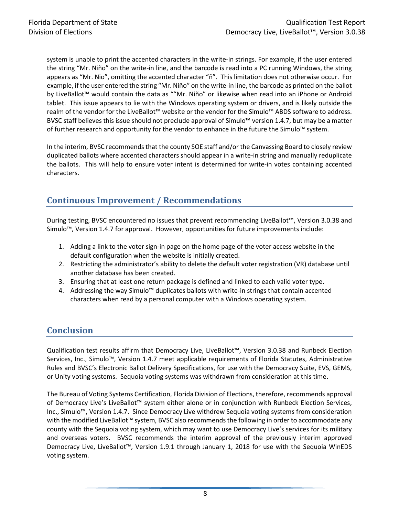system is unable to print the accented characters in the write-in strings. For example, if the user entered the string "Mr. Niño" on the write-in line, and the barcode is read into a PC running Windows, the string appears as "Mr. Nio", omitting the accented character "ñ". This limitation does not otherwise occur. For example, if the user entered the string "Mr. Niño" on the write-in line, the barcode as printed on the ballot by LiveBallot™ would contain the data as ""Mr. Niño" or likewise when read into an iPhone or Android tablet. This issue appears to lie with the Windows operating system or drivers, and is likely outside the realm of the vendor for the LiveBallot™ website or the vendor for the Simulo™ ABDS software to address. BVSC staff believes this issue should not preclude approval of Simulo™ version 1.4.7, but may be a matter of further research and opportunity for the vendor to enhance in the future the Simulo™ system.

In the interim, BVSC recommends that the county SOE staff and/or the Canvassing Board to closely review duplicated ballots where accented characters should appear in a write-in string and manually reduplicate the ballots. This will help to ensure voter intent is determined for write-in votes containing accented characters.

# <span id="page-7-0"></span>**Continuous Improvement / Recommendations**

During testing, BVSC encountered no issues that prevent recommending LiveBallot™, Version 3.0.38 and Simulo™, Version 1.4.7 for approval. However, opportunities for future improvements include:

- 1. Adding a link to the voter sign-in page on the home page of the voter access website in the default configuration when the website is initially created.
- 2. Restricting the administrator's ability to delete the default voter registration (VR) database until another database has been created.
- 3. Ensuring that at least one return package is defined and linked to each valid voter type.
- 4. Addressing the way Simulo™ duplicates ballots with write-in strings that contain accented characters when read by a personal computer with a Windows operating system.

# <span id="page-7-1"></span>**Conclusion**

Qualification test results affirm that Democracy Live, LiveBallot™, Version 3.0.38 and Runbeck Election Services, Inc., Simulo™, Version 1.4.7 meet applicable requirements of Florida Statutes, Administrative Rules and BVSC's Electronic Ballot Delivery Specifications, for use with the Democracy Suite, EVS, GEMS, or Unity voting systems. Sequoia voting systems was withdrawn from consideration at this time.

The Bureau of Voting Systems Certification, Florida Division of Elections, therefore, recommends approval of Democracy Live's LiveBallot™ system either alone or in conjunction with Runbeck Election Services, Inc., Simulo™, Version 1.4.7. Since Democracy Live withdrew Sequoia voting systems from consideration with the modified LiveBallot™ system, BVSC also recommendsthe following in order to accommodate any county with the Sequoia voting system, which may want to use Democracy Live's services for its military and overseas voters. BVSC recommends the interim approval of the previously interim approved Democracy Live, LiveBallot™, Version 1.9.1 through January 1, 2018 for use with the Sequoia WinEDS voting system.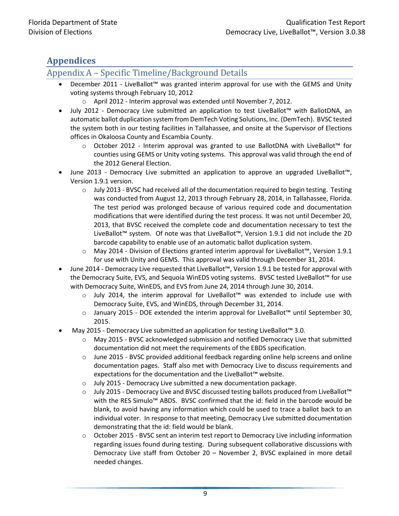# <span id="page-8-0"></span>**Appendices**

### <span id="page-8-1"></span>Appendix A – Specific Timeline/Background Details

- December 2011 LiveBallot™ was granted interim approval for use with the GEMS and Unity voting systems through February 10, 2012
	- o April 2012 Interim approval was extended until November 7, 2012.
- July 2012 Democracy Live submitted an application to test LiveBallot™ with BallotDNA, an automatic ballot duplication system from DemTech Voting Solutions, Inc. (DemTech). BVSC tested the system both in our testing facilities in Tallahassee, and onsite at the Supervisor of Elections offices in Okaloosa County and Escambia County.
	- o October 2012 Interim approval was granted to use BallotDNA with LiveBallot™ for counties using GEMS or Unity voting systems. This approval was valid through the end of the 2012 General Election.
- June 2013 Democracy Live submitted an application to approve an upgraded LiveBallot™, Version 1.9.1 version.
	- o July 2013 BVSC had received all of the documentation required to begin testing. Testing was conducted from August 12, 2013 through February 28, 2014, in Tallahassee, Florida. The test period was prolonged because of various required code and documentation modifications that were identified during the test process. It was not until December 20, 2013, that BVSC received the complete code and documentation necessary to test the LiveBallot™ system. Of note was that LiveBallot™, Version 1.9.1 did not include the 2D barcode capability to enable use of an automatic ballot duplication system.
	- o May 2014 Division of Elections granted interim approval for LiveBallot™, Version 1.9.1 for use with Unity and GEMS. This approval was valid through December 31, 2014.
- June 2014 Democracy Live requested that LiveBallot™, Version 1.9.1 be tested for approval with the Democracy Suite, EVS, and Sequoia WinEDS voting systems. BVSC tested LiveBallot™ for use with Democracy Suite, WinEDS, and EVS from June 24, 2014 through June 30, 2014.
	- o July 2014, the interim approval for LiveBallot™ was extended to include use with Democracy Suite, EVS, and WinEDS, through December 31, 2014.
	- o January 2015 DOE extended the interim approval for LiveBallot™ until September 30, 2015.
- May 2015 Democracy Live submitted an application for testing LiveBallot™ 3.0.
	- o May 2015 BVSC acknowledged submission and notified Democracy Live that submitted documentation did not meet the requirements of the EBDS specification.
	- o June 2015 BVSC provided additional feedback regarding online help screens and online documentation pages. Staff also met with Democracy Live to discuss requirements and expectations for the documentation and the LiveBallot™ website.
	- o July 2015 Democracy Live submitted a new documentation package.
	- o July 2015 Democracy Live and BVSC discussed testing ballots produced from LiveBallot™ with the RES Simulo™ ABDS. BVSC confirmed that the id: field in the barcode would be blank, to avoid having any information which could be used to trace a ballot back to an individual voter. In response to that meeting, Democracy Live submitted documentation demonstrating that the id: field would be blank.
	- o October 2015 BVSC sent an interim test report to Democracy Live including information regarding issues found during testing. During subsequent collaborative discussions with Democracy Live staff from October 20 – November 2, BVSC explained in more detail needed changes.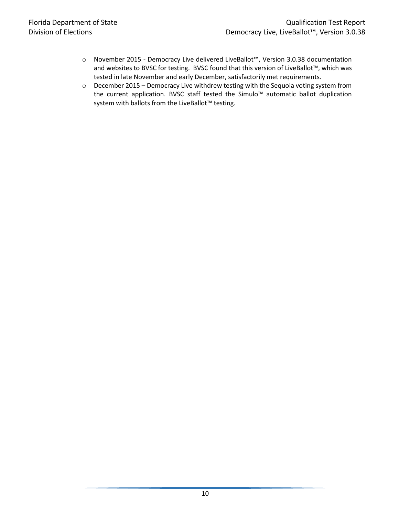- o November 2015 Democracy Live delivered LiveBallot™, Version 3.0.38 documentation and websites to BVSC for testing. BVSC found that this version of LiveBallot™, which was tested in late November and early December, satisfactorily met requirements.
- o December 2015 Democracy Live withdrew testing with the Sequoia voting system from the current application. BVSC staff tested the Simulo™ automatic ballot duplication system with ballots from the LiveBallot™ testing.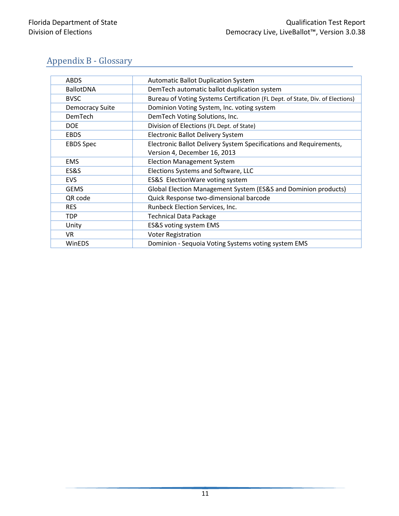# <span id="page-10-0"></span>Appendix B - Glossary

| <b>ABDS</b>            | <b>Automatic Ballot Duplication System</b>                                    |
|------------------------|-------------------------------------------------------------------------------|
| <b>BallotDNA</b>       | DemTech automatic ballot duplication system                                   |
| <b>BVSC</b>            | Bureau of Voting Systems Certification (FL Dept. of State, Div. of Elections) |
| <b>Democracy Suite</b> | Dominion Voting System, Inc. voting system                                    |
| DemTech                | DemTech Voting Solutions, Inc.                                                |
| <b>DOE</b>             | Division of Elections (FL Dept. of State)                                     |
| <b>EBDS</b>            | Electronic Ballot Delivery System                                             |
| <b>EBDS Spec</b>       | Electronic Ballot Delivery System Specifications and Requirements,            |
|                        | Version 4, December 16, 2013                                                  |
| <b>EMS</b>             | <b>Election Management System</b>                                             |
| ES&S                   | Elections Systems and Software, LLC                                           |
| <b>EVS</b>             | ES&S ElectionWare voting system                                               |
| <b>GEMS</b>            | Global Election Management System (ES&S and Dominion products)                |
| QR code                | Quick Response two-dimensional barcode                                        |
| <b>RES</b>             | Runbeck Election Services, Inc.                                               |
| <b>TDP</b>             | <b>Technical Data Package</b>                                                 |
| Unity                  | ES&S voting system EMS                                                        |
| VR                     | <b>Voter Registration</b>                                                     |
| WinEDS                 | Dominion - Sequoia Voting Systems voting system EMS                           |